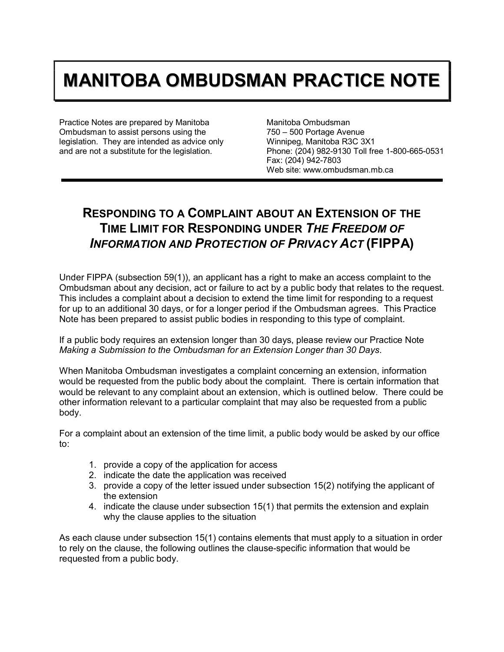## **MANITOBA OMBUDSMAN PRACTICE NOTE**

Practice Notes are prepared by Manitoba Ombudsman to assist persons using the legislation. They are intended as advice only and are not a substitute for the legislation.

Manitoba Ombudsman 750 – 500 Portage Avenue Winnipeg, Manitoba R3C 3X1 Phone: (204) 982-9130 Toll free 1-800-665-0531 Fax: (204) 942-7803 Web site: www.ombudsman.mb.ca

## **RESPONDING TO A COMPLAINT ABOUT AN EXTENSION OF THE TIME LIMIT FOR RESPONDING UNDER** *THE FREEDOM OF INFORMATION AND PROTECTION OF PRIVACY ACT* **(FIPPA)**

Under FIPPA (subsection 59(1)), an applicant has a right to make an access complaint to the Ombudsman about any decision, act or failure to act by a public body that relates to the request. This includes a complaint about a decision to extend the time limit for responding to a request for up to an additional 30 days, or for a longer period if the Ombudsman agrees. This Practice Note has been prepared to assist public bodies in responding to this type of complaint.

If a public body requires an extension longer than 30 days, please review our Practice Note *Making a Submission to the Ombudsman for an Extension Longer than 30 Days*.

When Manitoba Ombudsman investigates a complaint concerning an extension, information would be requested from the public body about the complaint. There is certain information that would be relevant to any complaint about an extension, which is outlined below. There could be other information relevant to a particular complaint that may also be requested from a public body.

For a complaint about an extension of the time limit, a public body would be asked by our office to:

- 1. provide a copy of the application for access
- 2. indicate the date the application was received
- 3. provide a copy of the letter issued under subsection 15(2) notifying the applicant of the extension
- 4. indicate the clause under subsection 15(1) that permits the extension and explain why the clause applies to the situation

As each clause under subsection 15(1) contains elements that must apply to a situation in order to rely on the clause, the following outlines the clause-specific information that would be requested from a public body.